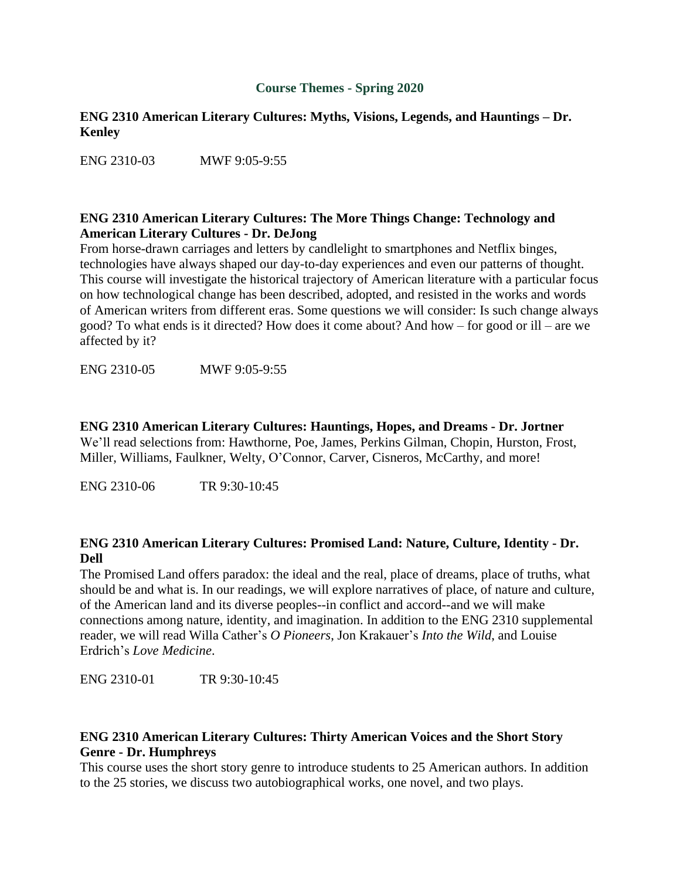## **Course Themes - Spring 2020**

## **ENG 2310 American Literary Cultures: Myths, Visions, Legends, and Hauntings – Dr. Kenley**

ENG 2310-03 MWF 9:05-9:55

### **ENG 2310 American Literary Cultures: The More Things Change: Technology and American Literary Cultures - Dr. DeJong**

From horse-drawn carriages and letters by candlelight to smartphones and Netflix binges, technologies have always shaped our day-to-day experiences and even our patterns of thought. This course will investigate the historical trajectory of American literature with a particular focus on how technological change has been described, adopted, and resisted in the works and words of American writers from different eras. Some questions we will consider: Is such change always good? To what ends is it directed? How does it come about? And how – for good or ill – are we affected by it?

ENG 2310-05 MWF 9:05-9:55

#### **ENG 2310 American Literary Cultures: Hauntings, Hopes, and Dreams - Dr. Jortner**

We'll read selections from: Hawthorne, Poe, James, Perkins Gilman, Chopin, Hurston, Frost, Miller, Williams, Faulkner, Welty, O'Connor, Carver, Cisneros, McCarthy, and more!

ENG 2310-06 TR 9:30-10:45

## **ENG 2310 American Literary Cultures: Promised Land: Nature, Culture, Identity - Dr. Dell**

The Promised Land offers paradox: the ideal and the real, place of dreams, place of truths, what should be and what is. In our readings, we will explore narratives of place, of nature and culture, of the American land and its diverse peoples--in conflict and accord--and we will make connections among nature, identity, and imagination. In addition to the ENG 2310 supplemental reader, we will read Willa Cather's *O Pioneers*, Jon Krakauer's *Into the Wild*, and Louise Erdrich's *Love Medicine*.

ENG 2310-01 TR 9:30-10:45

# **ENG 2310 American Literary Cultures: Thirty American Voices and the Short Story Genre - Dr. Humphreys**

This course uses the short story genre to introduce students to 25 American authors. In addition to the 25 stories, we discuss two autobiographical works, one novel, and two plays.